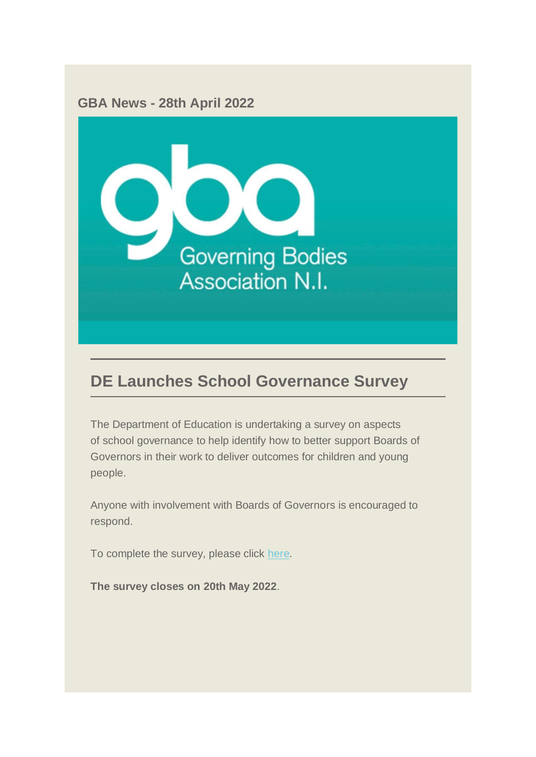

# **DE Launches School Governance Survey**

The Department of Education is undertaking a survey on aspects of school governance to help identify how to better support Boards of Governors in their work to deliver outcomes for children and young people.

Anyone with involvement with Boards of Governors is encouraged to respond.

To complete the survey, please click [here.](https://consultations.nidirect.gov.uk/de/school-governance-review/)

**The survey closes on 20th May 2022**.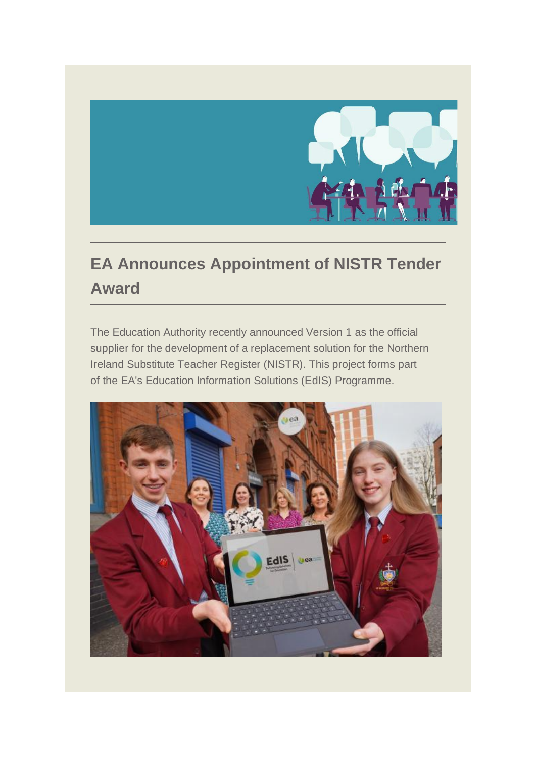

# **EA Announces Appointment of NISTR Tender Award**

The Education Authority recently announced Version 1 as the official supplier for the development of a replacement solution for the Northern Ireland Substitute Teacher Register (NISTR). This project forms part of the EA's Education Information Solutions (EdIS) Programme.

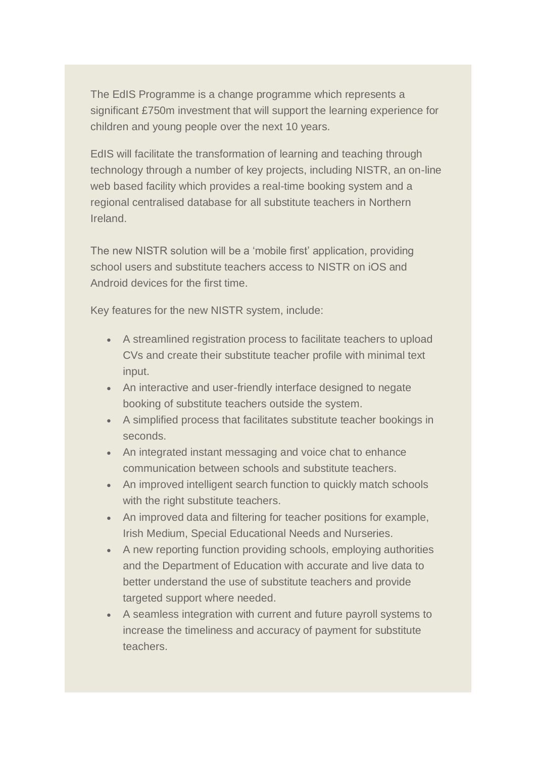The EdIS Programme is a change programme which represents a significant £750m investment that will support the learning experience for children and young people over the next 10 years.

EdIS will facilitate the transformation of learning and teaching through technology through a number of key projects, including NISTR, an on-line web based facility which provides a real-time booking system and a regional centralised database for all substitute teachers in Northern Ireland.

The new NISTR solution will be a 'mobile first' application, providing school users and substitute teachers access to NISTR on iOS and Android devices for the first time.

Key features for the new NISTR system, include:

- A streamlined registration process to facilitate teachers to upload CVs and create their substitute teacher profile with minimal text input.
- An interactive and user-friendly interface designed to negate booking of substitute teachers outside the system.
- A simplified process that facilitates substitute teacher bookings in seconds.
- An integrated instant messaging and voice chat to enhance communication between schools and substitute teachers.
- An improved intelligent search function to quickly match schools with the right substitute teachers.
- An improved data and filtering for teacher positions for example, Irish Medium, Special Educational Needs and Nurseries.
- A new reporting function providing schools, employing authorities and the Department of Education with accurate and live data to better understand the use of substitute teachers and provide targeted support where needed.
- A seamless integration with current and future payroll systems to increase the timeliness and accuracy of payment for substitute teachers.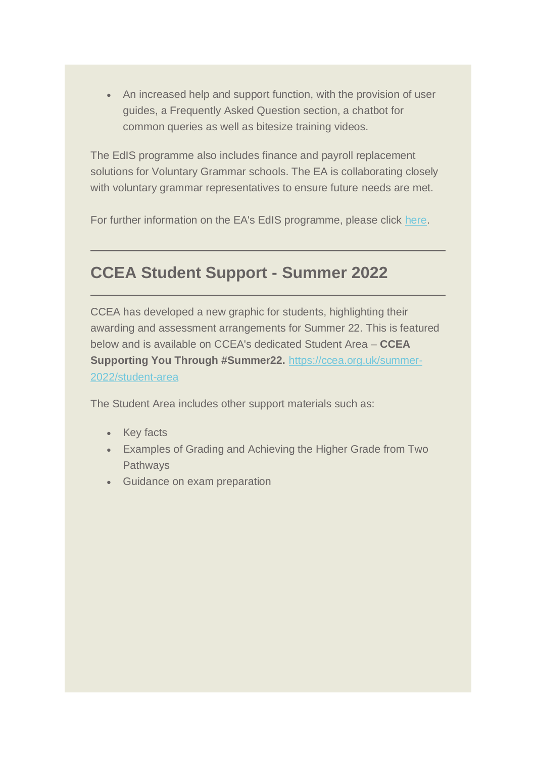• An increased help and support function, with the provision of user guides, a Frequently Asked Question section, a chatbot for common queries as well as bitesize training videos.

The EdIS programme also includes finance and payroll replacement solutions for Voluntary Grammar schools. The EA is collaborating closely with voluntary grammar representatives to ensure future needs are met.

For further information on the EA's EdIS programme, please click [here.](https://www.eani.org.uk/news/education-authority-launches-ps750m-education-information-solutions-digital-change-programme)

### **CCEA Student Support - Summer 2022**

CCEA has developed a new graphic for students, highlighting their awarding and assessment arrangements for Summer 22. This is featured below and is available on CCEA's dedicated Student Area – **CCEA Supporting You Through #Summer22.** [https://ccea.org.uk/summer-](https://ccea.org.uk/summer-2022/student-area)[2022/student-area](https://ccea.org.uk/summer-2022/student-area)

The Student Area includes other support materials such as:

- Key facts
- Examples of Grading and Achieving the Higher Grade from Two Pathways
- Guidance on exam preparation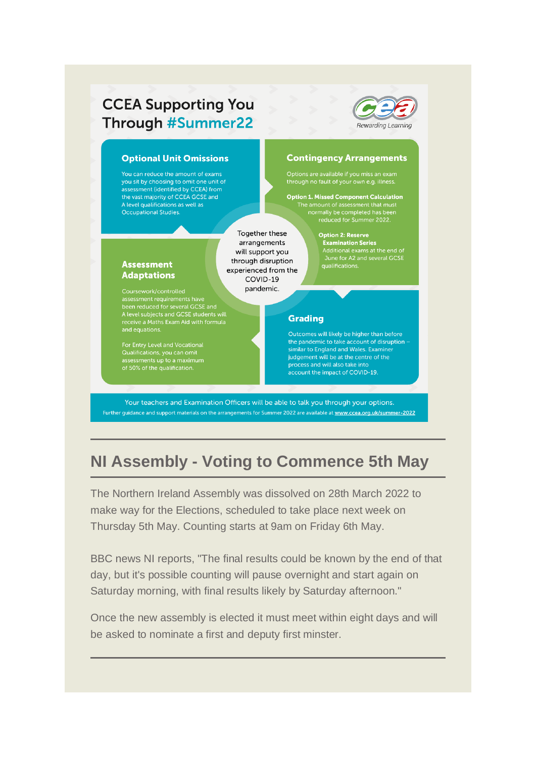### **CCEA Supporting You Through #Summer22**



#### **Optional Unit Omissions**

You can reduce the amount of exams you sit by choosing to omit one unit of assessment (identified by CCEA) from the vast majority of CCEA GCSE and A level qualifications as well as **Occupational Studies** 

> Together these arrangements will support you through disruption experienced from the COVID-19 pandemic.

#### **Assessment Adaptations**

Coursework/controlled Subsessment requirements have<br>been reduced for several GCSE and<br>A level subjects and GCSE students will<br>receive a Maths Exam Aid with formula

Qualifications, you can omit<br>assessments up to a maximum

#### **Contingency Arrangements**

**Option 1. Missed Component Calculation** normally be completed has been<br>reduced for Summer 2022.

> **Option 2: Reserve<br>Examination Series** Additional exams at the end of<br>June for A2 and several GCSE<br>qualifications.

#### **Grading**

Outcomes will likely be higher than before the pandemic to take account of disruption similar to England and Wales. Examiner judgement will be at the centre of the process and will also take into account the impact of COVID-19.

Your teachers and Examination Officers will be able to talk you through your options. Further guidance and support materials on the arrangements for Summer 2022 are available at www.ccea.org.uk/summer-2022

# **NI Assembly - Voting to Commence 5th May**

The Northern Ireland Assembly was dissolved on 28th March 2022 to make way for the Elections, scheduled to take place next week on Thursday 5th May. Counting starts at 9am on Friday 6th May.

BBC news NI reports, "The final results could be known by the end of that day, but it's possible counting will pause overnight and start again on Saturday morning, with final results likely by Saturday afternoon."

Once the new assembly is elected it must meet within eight days and will be asked to nominate a first and deputy first minster.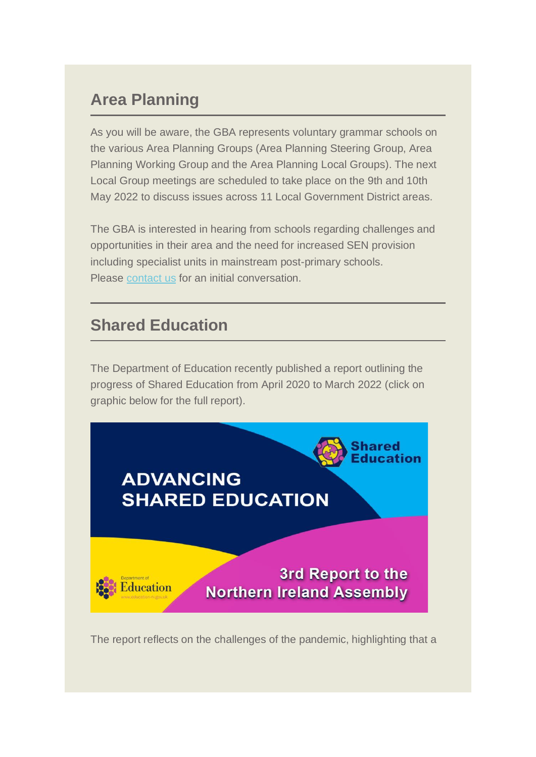# **Area Planning**

As you will be aware, the GBA represents voluntary grammar schools on the various Area Planning Groups (Area Planning Steering Group, Area Planning Working Group and the Area Planning Local Groups). The next Local Group meetings are scheduled to take place on the 9th and 10th May 2022 to discuss issues across 11 Local Government District areas.

The GBA is interested in hearing from schools regarding challenges and opportunities in their area and the need for increased SEN provision including specialist units in mainstream post-primary schools. Please [contact us](mailto:nuala@gbani.org;%20helen@gbani.org) for an initial conversation.

### **Shared Education**

The Department of Education recently published a report outlining the progress of Shared Education from April 2020 to March 2022 (click on graphic below for the full report).



The report reflects on the challenges of the pandemic, highlighting that a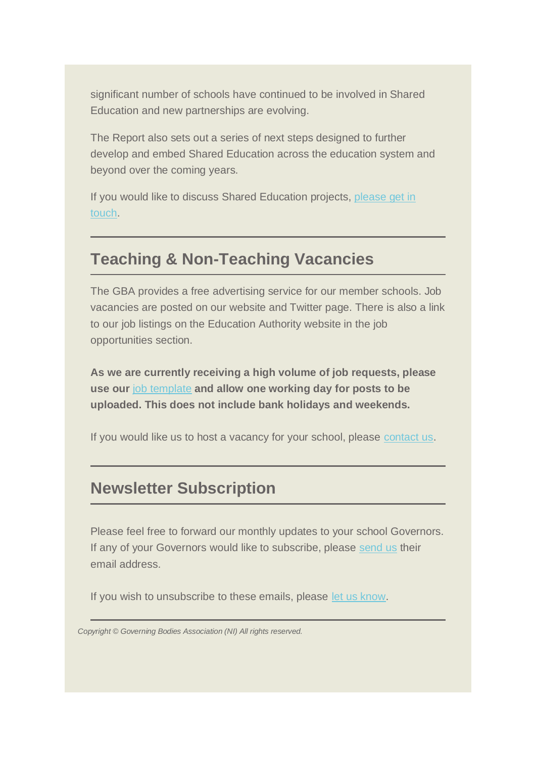significant number of schools have continued to be involved in Shared Education and new partnerships are evolving.

The Report also sets out a series of next steps designed to further develop and embed Shared Education across the education system and beyond over the coming years.

If you would like to discuss Shared Education projects, please get in [touch.](mailto:nuala@gbani.org;helen@gbani.org?subject=Shared%20Education)

### **Teaching & Non-Teaching Vacancies**

The GBA provides a free advertising service for our member schools. Job vacancies are posted on our website and Twitter page. There is also a link to our job listings on the Education Authority website in the job opportunities section.

**As we are currently receiving a high volume of job requests, please use our** [job template](https://mcusercontent.com/710b95bf402131c3e6b20d97b/files/b250a51d-d719-4a09-bf51-b5d771bef31e/Job_template.02.docx) **and allow one working day for posts to be uploaded. This does not include bank holidays and weekends.**

If you would like us to host a vacancy for your school, please [contact us.](mailto:helen@gbani.org;%20nuala@gbani.org?subject=Job%20Advertisement%20)

### **Newsletter Subscription**

Please feel free to forward our monthly updates to your school Governors. If any of your Governors would like to subscribe, please [send us](mailto:helen@gbani.org;%20nuala@gbani.org?subject=Subscribe%20to%20GBA%20Newsletter&body=Dear%20GBA%2C%0A%0APlease%20add%3A%20%0A) their email address.

If you wish to unsubscribe to these emails, please [let us know.](mailto:helen@gbani.org;%20nuala@gbani.org?subject=GBA%20Newsletter%20-%20Unsubscribe)

*Copyright © Governing Bodies Association (NI) All rights reserved.*